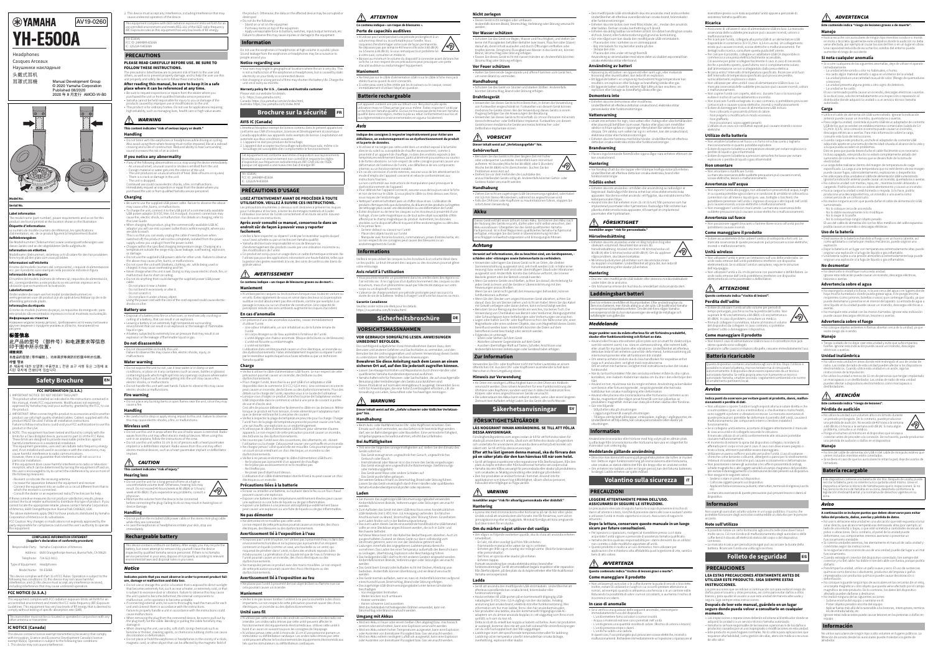#### **FCC NOTICE (U.S.A.)**

## **IC NOTICE (Canada)**

This device contains licence-exempt transmitter(s)/receiver(s) that comply mis actrice comains incence exempt adminimedial coerrents) and co<br>with Innovation, Science and Economic Development Canada's licenc empt RSS(s). Operation is subject to the following two conditions: 1. This device may not cause interference.

2. This device must accept any interference, including interference that may cause undesired operation of the device.

the product. Otherwise, the data on the affected device may be corrupted or

**PLEASE READ CAREFULLY BEFORE USE. BE SURE TO** 

#### roducts caused by improper use or modifications to the unit • This product is for ordinary homes. Do not use for applications requiring high reliability, such as managing lives, health care or high-value assets.

**Handling** • Do not listen with the earphones or headphones while driving or cycling. Also avoid using them where hearing must not be impaired, like at a railroad crossing and a site of construction. Reduced ability to hear surrounding source doing them where nearing<br>ossing and a site of construction. Re<br>und increases the risk of an accider

**FOLLOW THESE INSTRUCTIONS.** The precautions listed below are to prevent risk of harm to the user and others, as well as to prevent property damage, and to help the user use this unit properly and safely. Be sure to follow these instructions.

**After reading this manual, be sure to keep it in a safe place where it can be referenced at any time.**

• Be sure to request inspections or repairs from the dealer where you purchased the unit or from qualified Yamaha service personnel. • Yamaha cannot be held responsible for injury to you or damage of the

#### **This content indicates "risk of serious injury or death."**

• Charges within the specified charging temperature range. Charging at a erature outside the range may cause leakage, overheating,

### **If you notice any abnormality**

 Do not place it under a heavy object. ower cord with the core of the cord exposed could cause electric

• If any of the following abnormalities occur, stop using the device immediately. - An unusual smell, unusual sound or smoke is emitted from the unit. Foreign material or water gets into the interior of the unit. The unit produces an unusual amount of heat. (Risk of burns or injuries)

 There is a crack or damage in the unit. - The unit is dropped.<br>Continued use could cause electric shocks, a fire, or malfunctions. Immediately request an inspection or repair from the dealer where you purchased the unit or from qualified Yamaha service personnel.

**Charging** • Be sure to use the supplied USB power cable. Failure to observe the above may cause a fire, burns, or malfunctions. • To charge the unit, connect it to the USB port of a commercially available

USB power adaptor (5 V DC/min. 0.5 A output). Incorrect connection may cause fire, electric shock, or malfunction. For details on charging, refer to this User Guide.• When charging this product, plug the commercially-available USB AC

• Do not use this unit in areas where the use of radio waves is restricted. Radio<br>waves from this unit may affect electro-medical devices. When using this unit in an airplane, follow the instructions of the crew. • Do not use this unit within 15 cm (6 in) of persons with a heart pacemaker implant or a defibrillator implant. Radio waves from this unit may affect electro-medical devices, such as a heart pacemaker implant or define implant.

adaptor you will use into a power outlet that is within eyesight, where you are able to reach.This is so that you can easily unplug the cable if need be.Even when switched off, this product will not be completely isolated from the power supply unless you unplug it from the power outlet.

 $\sqrt{10}$ week at 89 dB(A). If you experience any problems, consult a physician. Minimize the volume from the device to be connected before connecting the plug. Failing to do so may result in hearing loss or device damage.

or damage. Do not use the supplied USB power cable for other units. Failure to observe the above may cause a fire, burns, or malfunctions. • Do not cover the unit with blankets, clothing, etc. while being used or

charged. It may cause overheating and fire. • Never charge when the unit is wet. Doing so may cause electric shock, fire, or

malfunction due to short circuiting. • Do not do anything that could damage the supplied power USB power

 • Do not place or hold the earphones or headphones in the vicinity of a clock, magnetic card, or other object that can be affected by the magnetic field of

cable.Do not place it near a heater.

 Do not bend it excessively or alter it. Do not scratch it.

shocks or a fire.

#### **Battery use**

o not use the earphones or headphones at high volume in a public place. Sound leakage from the earphones or headphones may be a nuisance to

• Your ears may tingle in geographical locations where the air is very dry. This<br>is not a maltunction of the earphones or headphones, but is caused by static<br>electricity on your body or a connected device.<br>Not charging in

• Disposal of a battery into fire or a hot oven, or mechanically crushing or cutting of a battery, that can result in an explosion. • Leaving a battery in an extremely high temperature surrounding ent that can result in an explosion or the leakage of flammable liquid or gas.

• A battery subjected to extremely low air pressure that may result in an explosion or the leakage of flammable liquid or gas. **Do not disassemble**

etteur/récepteur exempt de licence contenu dans le présent appareil est orme aux CNR d'Innovation, Sciences et Développement économique Canada applicables aux appareils radio exempts de licence. L'exploitation est

• Do not disassemble or modify this unit. Failure to observe this may cause a fire, electric shocks, injury, or malfunctions.

#### **Water warning**

• Do not expose the unit to rain, use it near water or in damp or wet conditions, or place on it any containers (such as vases, bottles or glasses) containing liquids which might spill into any openings or places where water may drop. A liquid such as water getting into the unit may cause a fire, electric shocks, or malfunctions. • Do not handle this unit with wet hands. Failure to observe this may cause

#### electric shocks or malfunctions.

**Fire warning** • Do not place any burning items or open flames near the unit, since they may cause a fire.

• N'utilisez pas les casques ou les écouteurs lorsque vous roulez en voiture ou en vélo. Évitez également de vous en servir dans des lieux où la perception auditive ne doit absolument pas être entravée, comme par exemple à un passage à niveau ou sur un chantier de construction. Une capacité de percente de servente des sons ambiants augmente les risques d'accident.

**Handling**

• Be careful not to drop or apply strong impact to this unit. Failure to observe this may cause electric shocks, a fire, or malfunctions.

### **Wireless unit**

.<br>Yamaha qualifié. **Charge**

#### **This content indicates "risk of injury."**

**Hearing loss**

• Do not use the unit for a long period of time at a high or uncomfortable volume level. Otherwise, hearing loss may result. Do not exceed 40 hours/week at 80 dB(A) or 5 hours/

Ceci afin de pouvoir débrancher facilement le câble en cas de besoin. Même lorsque ce produit est hors tension, il reste alimenté par l'adaptateur tant

**Handling**

Veillez à respecter la plage de température prescrite pour la charge. Charger<br>l'unité hors de la plage de température prescrite pourrait causer une fuite,<br>une surchauffe, une explosion ou un endommagement. • N'utilisez pas le câble d'alimentation USB fourni pour alimenter d'autres appareils. Le non-respect de cette précaution pourrait causer un incendie,

• Do not pull on the included USB power cable or the stereo mini-plug cable while they are connected. • In case the earphones or headphones irritate your skin, stop use immediately.

• Ne couvrez pas l'unité avec des couvertures, des vêtements, etc. durant<br>· l'utilisation ou la charge. Cela pourrait causer une surchauffe et un incendie<br>• Ne chargez jamais l'unité quand elle est mouillée. Cela pourrait un court-circuit entraînant un choc électrique, un incendie ou des

- Ne posez pas u objet toutu dessus.<br>L'utilisation d'un câble d'alimentation dont le fil est à nu peut causer un choc

**Indicates points that you must observe in order to prevent product fail-**

**ure, damage or malfunction and data loss.**

• Do not use or storage this unit in a location that is exposed to direct sunlight that becomes extremely hot, such as near a heater, or extremely cold, or that is subject to excessive dust or vibration. Failure to observe this may cause the unit's panel to become deformed, the internal components to malfunction, or for operation to become unstable.<br>• If connecting external units, be sure to thoroughly read the manual for each<br>• unit and connect them in accordance with the instructions. Failure to properly handle a unit in accordance with the instructions could

cause malfunctions.

 • When removing the plug from the connected device, be sure to pull out by the plug itself, not the cable. Bending or pulling the cable forcefully may

• When cleaning the unit, use a dry, soft cloth. Using chemicals such as benzine or thinner, cleaning agents, or chemical scrubbing cloths can cause

• N'utilisez pas cette unité dans des endroits où l'émission d'ondes radio est interdite. Les ondes radio émises par cette unité peuvent affecter le ionnement des équipements électromédicaux. Utilisez cette unité à bord d'un avion en suivant toujours les consignes de l'équipage. N'utilisez jamais cette unité à moins de 15 cm d'une personne portant un stimulateur ou défibrillateur cardiaque. Les ondes radio émises par cette unité peuvent affecter le fonctionnement des équipements électromédicau

discoloration or deformation.

mage it.

evice contains a lithium-ion battery. After usage, you may recycle t tery, but never attempt to remove it by yourself. Have the device ected by qualified Yamaha service personnel. If there is no Yamaha service remember that the personnel in your according to relevant in your area, dispose of it properly according to releva rsonnentn your area, alspose onte proper<br>ental laws and disposal rules in your area

destroyed. • Do not do the following:

- Stand on or sit on the equipmen - Put heavy items on top of the equipmen - Apply unreasonable force to buttons, switches, input/output terminals, etc. Failure to observe this may cause injuries or damage to the equipment.

people around you. **Notice regarding use**

> • N'utilisez et ne rangez pas cette unité dans un endroit exposé à la lumière directe du soleil ou susceptible de chauffer excessivement, comme à proximité d'un appareil de chauffage, ni dans des endroits exposés à des mpératures extrêmement basses, particulièrement poussiéreux ou soumis à de fortes vibrations. Le non-respect de cette consigne pourrait causer une éformation de l'extérieur de l'unité, une défaillance de ses composants

unit once every six months.

**Warranty policy for U.S. , Canada and Australia customer**

Please visit our website for details. U.S.: https://usa.yamaha.com/,

> • Pour débrancher l'appareil connecté, assurez-vous de toujours saisir la fiche et non de tirer sur le câble. Si vous pliez le câble ou tirez dessus avec force, vous risquez de l'endommager. • Nettoyez l'unité en la frottant avec un chiffon doux et sec. L'utilisation de produits chimiques tels que du benzène, du diluant et des produits ou lingettes e nettoyage peut causer une décoloration ou une déformation de l'unit • Évitez de placer ou de tenir les casques ou les écouteurs à proximité d'une horloge, d'une carte magnétique ou de tout autre objet susceptible d'être<br>affecté par le champ magnétique du produit. Autrement, les données<br>stockées sur le dispositif affecté risquent d'être endommagées ou détruites.

-- racer ues oujes iouius sur i unite<br>- Manipuler avec force les boutons, commutateurs, prises d'entrée/sortie, etc.<br>Le non-respect de ces consignes peut causer des blessures ou un<br>endommagement de l'unité.

Canada: https://ca.yamaha.com/en/index.html, Australia: https://au.yamaha.com/index.html

atorisée aux deux conditions suivantes

**AVIS IC (Canada)**

1. L'appareil ne doit pas produire de brouillage; 2. L'appareil doit accepter tout brouillage radioélectrique subi, même si le brouillage est susceptible d'en compromettre le fonctionnement.

• Vous pourriez ressentir un picotement dans les oreilles dans des régions où l'air est très sec. Il ne s'agit pas d'un dysfonctionnement des casques ou de:<br>écouteurs, mais d'un phénomène causé par l'électricité statique sur votre

**LISEZ ATTENTIVEMENT AVANT DE PROCÉDER À TOUTE UTILISATION. VEILLEZ À SUIVRE CES INSTRUCTIONS.** Les précautions énumérées ci-dessous sont destinées à prévenir les risques pour l'utilisateur et les tiers, à éviter les dommages matériels et à aider l'utilisateur à se servir de l'unité correctement et en toute sécurité. Assurez-

vous de suivre ces instructions.

**Après avoir consulté ce manuel, conservez-le dans un endroit sûr de façon à pouvoir vous y reporter** 

**facilement.**

ie nachfolgend aufgeführten Vorsichtsmaßnahmen dienen dazu, den enutzer und anderen Gefahren und Sachschäden zu vermeiden, und der Benutzer bei der ordnungsgemäßen und sicheren Verwendung dieses Geräts zu unterstützen. Bitte befolgen Sie diese Anweisungen. **Bewahren Sie diese Anleitung nach dem Lesen an einem sicheren Ort auf, auf den Sie jederzeit zugreifen können.** • Lassen Sie etwaige Kontrollen und Reparaturen durch Ihren Händler oder

 • Veillez à faire inspecter ou réparer l'unité par le revendeur auprès duquel vous l'avez achetée ou par un technicien Yamaha qualifié. Yamaha décline toute responsabilité en cas de blessure ou

nagement des produits causés par une utilisation incorrecte ou

• Yamaha haftet nicht für Personen- oder Sachschäden, die auf unsachgemäße Benutzung oder Veränderungen des Geräts zurückzuführen sind.<br>• Dieses Produkt ist auf normalen Heimgebrauch ausgelegt. Verwenden Sie es<br>• nicht für Anwendungen, die eine hohe Zuverlässigkeit erfordern, z.B. die<br>• Verwaltun

Dieser Inhalt weist auf die "Gefahr schwerer oder tödlicher Verletzur

des modifications de l'unité.

 Ce produit est conçu pour un usage dans un cadre domestique ordinaire. Ne l'utilisez pas pour des applications nécessitant une haute fiabilité, telles que la gestion des gestes essentiels à la vie, des soins de santé ou des biens de

grande valeur.

**Ce contenu indique « un risque de blessures graves ou de mort ».**

**Maniement**

• Sie müssen das zugehörige USB-Stromversorgungskabel verwenden. Andernfalls können Brände, Verbrennungen oder Störungen verursacht werden. Zum Aufladen das Gerät mit dem USB-Anschluss eines handelsüblichen • USB-Netzteils (mit 5 VDC/min. 0,5 A Ausgang) verbinden. Ein falscher Anschluss kann zu Brand, Stromschlag oder Störung führen. Einzelheiten zum Laden finden sich in der Bedienungsanleitung. • Das zum Laden dieses Geräts einzusetzende handelsübliche USB-Netzteil sollte an eine Steckdose angeschlossen werden, die sich in Sicht- und

**En cas d'anomalie**

s equipment complies with ISED radiation exposure limits set forth for onment and meets RSS-102 of the ISED radio frequenc () Exposure rules as this equipment has very low levels of RF energy.

> • En présence d'une des anomalies suivantes, cessez immédiatement d'utiliser l'unité.Une odeur inhabituelle, un son inhabituel ou de la fumée émane de

l'unité.

 Un corps étranger ou de l'eau a pénétré à l'intérieur de l'unité. L'unité dégage une chaleur anormale. (Risque de brûlures ou de blessures) L'unité est fissurée ou endommagée. L'unité est tombée. L'utilisation dans cet état pourrait causer un choc électrique, un incendie ou des dysfonctionnements. Faites immédiatement inspecter ou réparer l'unité par le revendeur auprès duquel vous l'avez achetée ou par un technicien

• Veillez à utiliser le câble d'alimentation USB fourni. Le non-respect de cette précaution pourrait causer un incendie, des brûlures ou des dysfonctionnements. Pour charger l'unité, branchez-la au port USB d'un adaptateur USB disponible dans le commerce (5 V CC/ 0,5 A min.). Une connexion incor peut causer un incendie, des brûlures ou des dysfonctionnements. Pour des détails sur la charge de l'unité, reportez-vous à ce Guide de l'utilisateur. Lorsque vous chargez ce produit, branchez la prise de l'adaptateur secteur USB (disponible dans le commerce) utilisé à une prise de courant à portée

• Schützen Sie das Gerät vor Regen, Wasser und Feuchtigkeit, und stellen Sie<br>keine mit Flüssigkeiten befüllten Behälter (wie Vasen, Flaschen oder Gläser)<br>darauf ab, deren Inhalt auslaufen und durch Öffnungen einfließen ode Brand, Stromschlag oder Störung erfolgen. • Fassen Sie dieses Gerät nicht mit nassen Händen an. Anderenfalls könnten Stromschlag oder Störung erfolgen.

de vue et d'accès aisé.

• Verwenden Sie dieses Gerät nicht in Bereichen, in denen die Verwendung von Funkwellen eingeschränkt ist. Funkwellen von diesem Gerät können medizinische Geräte stören. Bei der Verwendung dieses Geräts in einem Flugzeug befolgen Sie die Anweisungen der Besatzung. Verwenden Sie dieses Gerät nicht innerhalb 15 cm von Personen mit einem Herzschrittmacher- oder Defibrillator-Implantat. Funkwellen von diesem der Benamidter mepidinistische Geräte wie Herzschrittmacher- ode

## $\wedge$  vorsicht

que ce dernier est branché à une prise de courant.

des brûlures ou des dysfonctionnements.

#### Verweist auf Informationen, die zu beachten sind, um Gerätepa **schäden oder -störungen sowie Datenverluste zu verhindern.**

dysfonctionnements.

 Veillez à ne jamais endommager le câble d'alimentation USB fourni. Ne le placez pas à proximité d'un appareil de chauffage. Ne le pliez pas excessivement et ne le modifiez pas.

Ne l'éraflez pas.

Ne posez pas d'objet lourd dessus.

électrique ou un incendie.

**Précautions liées à la batterie**

• Écraser ou entailler une batterie, ou la placer dans le feu ou un four chaud peuvent causer une explosion. • Exposer une batterie à des températures extrêmement élevées peut causer une explosion ou une fuite de liquide ou de gaz inflammables. • Exposer une batterie à une pression atmosphérique extrêmement basse peut causer une explosion ou une fuite de liquide ou de gaz inflammables.

**Ne pas démonter**

• Ne démontez et ne modifiez pas cette unité.

Le non-respect de cette précaution pourrait causer un incendie, des chocs

électriques, des blessures ou des dysfonctionnements. **Avertissement lié à l'exposition à l'eau**

#### säkert sätt. Se till att följa dessa anvisning. **Efter att ha läst igenom denna manual, ska du förvara den**

• N'exposez pas l'unité à la pluie, ne l'utilisez pas à proximité d'eau ni dans des ments humides et ne la placez pas à proximité d'un récipient contenant un liquide (comme un vase, une bouteille ou un verre) qui risquerait de pénétrer dans l'unité, ni dans des endroits exposés à des éclaboussures. La pénétration d'un liquide tel que de l'eau à l'intérieur de l'unité pourrait causer un incendie, des chocs électriques ou des dysfonctionnements. • Ne manipulez jamais ce produit avec des mains mouillées. Le non-respect de cette précaution pourrait causer des chocs électriques ou des

dysfonctionnements.

**Avertissement lié à l'exposition au feu**

• Ne placez pas l'unité à proximité de tout objet brûlant ou flamme nue car

cela pourrait causer un incendie.

**Maniement**

• Veillez à ne pas laisser tomber l'unité et à ne pas la soumettre à des chocs importants. Le non-respect de cette précaution pourrait causer des chocs

électriques, un incendie ou des dysfonctionnements.

**Unité sans fil**

tels que les stimulateurs ou défibrillateurs cardiaques.

**Ce contenu indique « un risque de blessures ». Perte de capacités auditives**

**ATTENTION** 

• N'utilisez pas l'unité pendant une période prolongée et à un volume trop élevé ou inconfortable pour l'oreille. Vous risqueriez d'endommager votre ouïe de façon permanente. Ne dépassez pas par semaine 40 heures d'écoute à 80 dB (A) ou 5 heures à 89 dB (A). Si vous remarquez tout problème lié

• Baissez au minimum le volume du dispositif à connecter avant de brancher sa fiche. Le non-respect de ces précautions peut provoquer une perte

d'acuité auditive ou endommager l'équipement.

**Maniement**

• Utsätt inte enheten för regn, nära vatten eller i fuktiga eller våta förhållanden<br>• eller placera på behållare (som vaser, flaskor eller glas) som innehåller<br>• vätskor och kan spillas in i öppningar eller platser där vat droppa. Om vätska, som vatten tar sig in i enheten, kan det orsaka brand, elektriska stötar eller funktionsstörningar.

• Ne tirez pas sur le câble d'alimentation USB ni sur le câble à fiche mini jack

ntient une pile au lithium-ion. Recyclez la pile après<br>ne l'ôtez jamais par vous-même. Faites inspecter l'u utilisation mais ne l'ôtez jamais par vous-même. Faites inspecter l'unité par<br>un technicien Yamaha qualifié. Si vous ne trouvez pas de technicien Yamaha<br>qualifié dans votre région, mettez la pile au rebut conformément aux

stéréo fournis quand ils sont connectés.

• Si votre peau vient à être irritée par les écouteurs ou le casque, cessez immédiatement d'utiliser l'objet en question.

**Indique des consignes à respecter impérativement pour éviter une défaillance, un endommagement ou un dysfonctionnement du produit** 

**et la perte de données.**

internes ou un fonctionnement instable.

 En cas de connexion d'unités externes, assurez-vous de lire attentivement le mode d'emploi de l'appareil concerné et reliez-le conformément aux instructions fournies.La non-conformité aux instructions de manipulation peut provoquer le

> • Dina öron kan känna lätt susning på geografiska platser där luften är mycket torr. Detta är ingen funktionsstörning på öronsnäckorna eller hörlurarna,<br>utan orsakas av statisk elektricitet från din kropp eller en ansluten enhet.<br>Om enheten inte laddats under en långre period, kan det förkorta batter

• À ne jamais faire :

Se tenir debout ou s'assoir sur l'unité

Placer des objets lourds sur l'unité

Veillez à ne pas utiliser les casques ou les écouteurs à un volume élevé dans un lieu public. Le bruit émanant des casques ou des écouteurs pourrait gêner

votre entourage.

**Avis relatif à l'utilisation**

corps ou un dispositif connecté.

• L'absence de charge pendant une période prolongée peut raccourcir la durée de vie de la batterie. Veillez à charger l'unité une fois tous les six mois.

**Garantie Canadienne**

ivenditore presso cui è stata acquistata l'unità oppure a personale d assistenza Yamaha qualificato.

Veuillez visiter notre site Web pour les details. https://ca.yamaha.com/fr/index.html

**VOR GEBRAUCH SORGFÄLTIG LESEN. ANWEISUNGEN** 

**UNBEDINGT BEFOLGEN.**

Assicurarsi di utilizzare il cavo di alimentazione USB incluso. La mancat osservanza delle suddette precauzioni può causare incendi, ustioni o malfunzionamenti. • Per ricaricare l'unità, collegarla alla porta USB di un alimentatore USB disponibile in commercio (5 V CC/min. 0,5 A in uscita). Un collegamento errato può causare incendi, scosse elettriche o malfunzionamenti. Per dettagli sulla ricarica, consultare questa guida dell'utente. • Per caricare il prodotto, collegare un adattatore USB CA disponibile in commercio a una presa elettrica facilmente accessibile, Ciò avviene per poter scollegare facilmente il cavo in caso di necessità. Anche a prodotto spento, quest'ultimo non è completamente isolato dall'alimentazione se non scollegandolo dalla presa elettrica. • Ricarica entro l'intervallo di temperatura specificato. Ricaricare al di fuori dell'intervallo di temperatura specificato può provocare p surriscaldamenti, esplosioni o danni. • Non utilizzare per altre unità il cavo di alimentazione USB incluso. La mancata osservanza delle suddette precauzioni può causare incendi, ustioni

qualifiziertes Yamaha-Kundendienstpersonal ausführen.

nène causé par l'électricité statique sur vot

**gen" hin. Handhabung**

• Beim Auto- oder Radfahren keine Ohr- oder Kopfhörer einsetzen. Den Einsatz auch dort vermeiden, wo das Gehör nicht beeinträchtigt werden darf, wie an Bahnübergängen oder Baustellen. Eine verminderte Fähigkeit, Umgebungsgeräusche wahrzunehmen, erhöht das Unfallrisiko.

**Bei Auffälligkeiten**

der Verletzungsgefahr

• Tritt eine der folgenden Unregelmäßigkeiten auf, stellen Sie den Einsatz des

Geräts sofort ein.

 Das Gerät erzeugt einen ungewöhnlichen Geruch, ungewöhnliches Geräusch oder Rauch. Fremdmaterial oder Wasser ist in das Innere des Geräts eingedrungen Das Gerät erzeugt eine ungewöhnliche Wärmemenge. (Verbrennungs-

- Das Gerät werst wasse ouer andere schauen auf.<br>- Das Gerät wurde fallen gelassen.<br>Der weitere Gebrauch kann zu Stromschlag, Brand oder Störung führen.<br>Lassen Sie das Gerät unverzüglich durch Ihren Händler oder qualifizie

 Non utilizzare l'unità in aree con limitazioni sull'uso delle onde radio. Le onde radio emesse dall'unità potrebbero interferire con dispositivi lettromedicali. Se si utilizza l'unità in aeroplano, seguire le istruzioni

Non utilizzare l'unità a 15 cm da persone con pacemaker o defibrillatore. Le<br>onde radio emesse dall'unità potrebbero interferire con dispositivi<br>elettromedicali come pacemaker o defibrillatori.

Das Gerät weist Risse oder andere Schäden auf.

Yamaha-Kundendienstpersonal prüfen oder reparieren.

**Laden**

Reichweite befindet.

 Auf diese Weise lässt sich das Kabel bei Bedarf bequem abziehen. Auch im ausgeschalteten Zustand ist dieses Gerät nur dann vollständig vom Stromnetz getrennt, wenn es von der Steckdose getrennt wird. • Ladungen innerhalb des angegebenen Ladetemperaturbereichs vornehmen. Das Laden bei einer Temperatur außerhalb des Bereichs kann zu Leckagen, Überhitzung, Explosion oder Beschädigung führen. • Das beiliegende USB-l darf nicht mit anderen Geräten eingesetzt werden. Andernfalls können Brände, Verbrennungen oder Störungen verursacht werden. • Das Gerät beim Einsatz oder Aufladen nicht mit Decken, Kleidung usw. edecken. Andernfalls können Überhitzung und ein Brand verursac werden. • Das Gerät niemals aufladen, wenn es nass ist. Andernfalls könnten aufgrund eines Kurzschlusses Stromschlag, Brand oder Störung erfolgen. • Das zugehörige USB-Stromversorgungskabel unter keinen Umständen

Wird das Netzkabel mit freiliegenden Drähten verwendet, kann ein

beschädigen - Von Heizgeräten fernhalten. werder knicken noch umba Kratzer vermeiden. Keiner schweren Last aussetzen.

Stromschlag oder Brand verursacht werden.

**Umgang mit Akkus**

• Wird ein Akku in Feuer oder einem heißen Ofen abgelegt bzw. mechanisch zerstört oder zerschnitten, kann eine Explosion verursacht werden. Wird ein Akku extrem hohen Temperaturen ausgesetzt, kann eine Explosion oder Austreten von brennbarer Flüssigkeit bzw. Gas verursacht werden. • Wird ein Akku extrem niedrigem Luftdruck ausgesetzt, kann eine Explosion oder Austreten von brennbarer Flüssigkeit bzw. Gas verursacht werden.

#### **Nicht zerlegen** s Gerät nicht zerlegen oder umbaue Andernfalls können Brand, Stromschlag, Verletzung oder Störung verursacht

werden.

#### **Vor Wasser schützen**

## **Vor Feuer schützen**

• Halten Sie brennende Gegenstände und offene Flammen vom Gerät fern, um einen Brand zu vermeiden. **Handhabung**

• Schützen Sie das Gerät vor Stürzen und starken Stößen. Anderenfalls könnten Stromschlag, Brand oder Störung erfolgen. **Drahtlosgerät**

Defibrillator-Implantate stören.

Geräteschäden verursacht werde

**Gehörverlust**• Benutzen Sie das Gerät nicht über längere Zeit mit hoher oder unbequemer Lautstärke. Andernfalls kann Hörverlust auftreten. 40 Stunden/Woche bei 80 dB(A) oder 5 Stunden/ /99\ Woche bei 89 dB(A) nicht überschreiten. Suchen Sie bei Problemen einen Arzt auf. Drehen Sie vor dem Verbinden die Lautstärke de anzuschließenden Geräts völlig ab. Anderenfalls könnten Gehör- oder

> Tenga cuidado de no dejar caer esta unidad y evite que sufra impactos fuertes. Ignorar esta indicación puede causar un incendio, descarga

**Handhabung** • Ziehen Sie nicht am zugehörigen USB-Stromversorgungskabel, oder Kabel

> • No utilice la unidad a menos de 15 cm de personas que tengan implantado un marcapasos o un desfibrilador. Las ondas de radio de esta unidad pueden afectar a dispositivos electromédicos como marca

mit 3,5 mm Stereo-Ministeckern, während sie angeschlossen sind. Falls die Ohrhörer oder Kopfhörer zu Hautirritationen führen, stoppen Sie sofort deren Verwendung.

Dieses Gerät enthält einen Lithium-Ionen-Akku. Sie können den Akku nach<br>der Nutzung des Geräts recyceln, dürfen aber nicht selbst versuchen, den<br>Akku auszubauen. Übergeben Sie das Gerät qualifizierten Yamaha-Fachpersonal. Ist in Ihrer Region kein qualifiziertes Yamaha-Fachpersonal<br>verfügbar, entsorgen Sie das Gerät in Übereinstimmung mit den<br>einschlägigen Umweltschutzgesetzen und Entsorgungsrichtlinien.

• Verwenden oder lagern Sie dieses Gerät nicht an Orten, die direkter Sonneneinstrahlung ausgesetzt sind, sehr heiß werden (z.B. in Nähe einer Heizung) bzw. extrem kalt sind oder übermäßigem Staub oder Vibrationen ausgesetzt sind. Andernfalls könnte das Gehäuse verformt, die inneren Bauteile gestört oder der Betrieb unstabil werden.

• Wenn Sie externe Geräte anschließen, achten Sie darauf, die Anleitung für jedes Gerät zu lesen und die Geräte in Übereinstimmung mit den weisungen anzuschließen Wenn Sie ein Gerät nicht gemäß den Anweisungen behandeln, können

Fehlfunktionen auftreten.

Wenn Sie den Stecker vom angeschlossenen Gerät abziehen, achten Sie<br>darauf, dass Sie am Stecker ziehen und nicht am Kabel. Wenn Sie das Kabel<br>mit Gewalt verbiegen oder daran ziehen, kann es beschädigt werden. • Benutzen Sie zur Reinigung des Geräts ein weiches, trockenes Tuch. Die Verwendung von Chemikalien wie Benzin oder Verdünner, Reinigungsmittel oder Scheuerlappen kann Verfärbungen oder Verformungen verursachen.<br>Legen oder halten Sie Ohr- oder Kopfhörer nicht in der Nähe einer Uhr, einer<br>Magnetkarte oder eines anderen Objekts, das vom Magnetfeld dieses Geräts<br>beei

**Label information**e model name (part nun duct are found printed at the location shown in the illustration

> betroffenen Gerät beschädigt oder zerstört werden. Folgendes ist untersagt:

Sitzen oder Stehen auf dem Gerät

- Abstellen schwerer Gegenstände auf dem Gerät<br>- Ausüben übermäßiger Kraft auf Tasten, Schalter, Anschlüsse usw.<br>Anderenfalls könnten Verletzungen oder Geräteschäden erfolgen.

**Información de la etiqueta** mbre del modelo (número de refer

> Verwenden Sie Ohr- oder Kopfhörer nicht mit hoher Lautstärke an einem öffentlichen Ort. Aus den Ohr- oder Kopfhörern austretender Schall kann Menschen in Ihrer Umgebung stören.

## **Hinweis zur Verwendung**

#### **標籤資訊**本產品的型號 ( 零件編號 )、功率需求等資訊印於圖中所示位置。

• An Orten mit niedriger Luftfeuchtigkeit kann in den Ohren ein Kribbeln verursacht werden. Dies ist kein Anzeichen für eine Funktionsstörung der Ohrhörer oder Kopfhörer, sondern wird durch statische Elektrizität Ihres Körpers oder eines angeschlossenen Geräts verursacht. • Die Lebensdauer des Akkus kann verkürzt werden, wenn über einen längeren Zeitraum kein Aufladen erfolgt Laden Sie das Gerät alle sechs Monate.

## **LÄS NOGGRANT INNAN ANVÄNDNING. SE TILL ATT FÖLJA**

IMPORTANT: When connecting this product to acc product use only high quality shielded cables. Cable/s supplied with this product MUST be used. Follow all installation instructions. ailure to follow instructions could void your FCC authorization to use t product in the USA.

> **DESSA ANVISNINGAR.** Försiktighetsåtgärderna som anges nedan är till för att förhindra risken för skada på användare och andra, såväl som att förhindra skador på egendor och underlätta för användaren att använda denna enhet på ett korrekt och

#### NOTE: This equipment has been tested and found to comply with the limits for a Class B digital device, pursuant to part 15 of the FCC Rules.

**på en säker plats där den kan hänvisas till när som helst.** • Se till att begära inspektioner eller reparationer från återförsäljaren, från den<br>• plats du köpte enheten eller från kvalificerad Yamaha-servicepersonal.<br>• Yamaha ska inte hållas ansvarigt för personskada eller skador p som orsakades av felaktig användning eller ändringar på enheten. • Den här produkten är endast för bruk i hemmet. Använd inte för applikationer som kräver hög tillförlitlighet, såsom vård av personer,

**Innehåller anger "risk för allvarlig personskada eller dödsfall."**

**Hantering**

 $\sqrt{N}$ 

Address: 6600 Orangethorpe Avenue, Buena Park, CA 90620 Telephone: 714-522-9011

• Lyssna inte med öronsnäckorna eller hörlurarna på när du kör eller cyklar. Undvik också att använda dem där hörseln inte får försämras, som vid en järnvägskorsning eller en byggplats. Minskad förmåga att höra omgivande ljud ökar risken för en olycka.

is device complies with Part 15 of FCC Rules. Operation is subject to the onditions: (1) this device may not cause harmfu ormig the conditions: (1) this device may not cause naminal.<br>Prierence, and (2) this device must accept any interference received including interference that may cause undesired operation.

### **Om du märker något utöver det vanliga**

This equipment complies with FCC radiation exposure limits set forth for an uncontrolled environment and meets the meets the FCC radio frequency (RF) Exp Guidelines. This equipment has very low levels of RF energy that is deemed to comply without testing of specific absorption rate (SAR). This transmitter must not be co-located or operated in conjunction with any other antenna or transmitter.

• Om någon av följande avvikelser uppstår, ska du sluta att använda enheten omedelbart. En lukt, rök eller ovanligt ljud hörs från enheten. Främmande material eller vatten tar sig in i enheten. Enheten ger ifrån sig en ovanlig stor mängd värme. (Risk för brännskador

eller personskador) Det finns en spricka eller skador på enheten.

 Enheten tappas. Fortsatt användning kan orsaka elektriska stötar, brand eller funktionsstörningar. Se till att omedelbart begära inspektion eller reparation från återförsäljaren, på den plats du du köpte enheten eller från kvalificerad Yamaha-servicepersonal.

**Ladda**

# • Se till att använda den medföljande USB-strömkabeln. Underlåtenhet att efterleva ovanstående kan orsaka brand, brännskador eller

funktionsstörningar.<br>• Anslut enheten till USB-porten på en kommersiellt tillgänglig USB-<br>• nätadapter (5 V DC/min. 0,5 A utgång) när den ska laddas. Felaktig<br>• anslutning kan orsaka brand, elektrisk stöt eller funktionsst information om hur man laddar, finns i den här användarmanualen.<br>När produkten ska laddas, ska den kommersiellt tillgängliga USB AC-<br>adaptern om du ämnar använda kopplas in i ett vägguttag som finns inom

### .<br>hälsovård eller tillgångar av höga värde VARNING

Den här enheten innehåller ett litiumjonbatteri. Efter användning kan du nna batteriet, men försök aldrig ta ut det själv. Låt kvalif servicepersonal inspektera enheten. Om det inte finns någon Yamaha-servicepersonal där du bor ska kasseringen ske enligt de miljölagar och regler som gäller där.

synhåll, och som du kan nå. Detta är så att du enkelt kan koppla ur kabeln vid behov. Även när produkten är avstängd, kommer den inte att vara helt isolerad från strömförsörjningen om du inte har kopplat bort den från vägguttaget. • Laddningar inom det specificerade temperaturintervallet för laddning. Laddning vid en temperatur utanför intervallet kan orsaka läckage, överhettning, explosion eller skador.

• Den medföljande USB-strömkabeln ska inte användas med andra enheter. Underlåtenhet att efterleva ovanstående kan orsaka brand, brännskador eller funktionsstörningar. • Enheten ska inte täckas över med filtar, kläder, etc., medan den används

eller laddas. Det kan orsaka överhettning och brand. Enheten ska aldrig laddas när enheten är blöt. En sådan handling kan orsaka

- elchock, brand, eller funktionsstörning på grund av kortslutning. Gör inte något som kan skada den medföljande USB-strömkabeln. Placera den inte i närheten av en värmeapparat
- Böj inte kabeln för mycket eller ändra på den.
- Skrapa den inte. Placera den inte under ett tungt föremål.
- Användning av strömsladden med större delen av sladden exponerad kan orsaka elektriska stötar eller brand.

## **Användning av batteri**

• Kassering av ett batteri i en öppen eld eller varm ugn, eller mekanisk krossning eller skuret batteri, kan leda till en explosion.<br>- Ett liggande batteri i en omgivning med extremt höga temperaturer kan<br>- resultera i en explosion eller läckage av brandfarlig vätska eller gas.<br>- Ett liggande b explosion eller läckage av brandfarlig vätska eller gas.

#### **Demontera inte**

• Enheten ska inte demonteras eller modifieras.Underlåtenhet att efterleva detta kan orsaka brand, elektriska stötar

#### personskador eller funktionsstörningar. **Vattenvarning**

• Enheten ska inte hanteras med blöta händer. Underlåtenhet att efterleva

#### detta kan orsaka elektriska stötar eller funktionsstörningar. **Brandvarning**

## • Placera inga brinnande föremål eller öppna lågor nära enheten eftersom de kan orsaka brand.

## **Hantering**

• Var försiktig så att du inte tappar eller tillämpar kraftiga stötar på enheten. Underlåtenhet att efterleva detta kan orsaka elektriska, brand eller funktionsstörningar.

## **Trådlös enhet**

 Enheten ska inte användas i områden där användning av radiovågor är begränsad. Radiovågor från denna enhet kan störa elek rater. När denna enhet används i ett flygplan, ska instruktion kabinpersonalen följas. Använd inte den här enheten inom 15 cm (6 tum) från personer som har implanterad pacemaker eller hjärtstartare. Radiovågor från enheten kan påverka elektromedicinska apparater, till exempel en implanterad pacemaker eller hjärtstartare.

**Hörselnedsättning** • Enheten ska inte användas under en lång tid på en hög eller obekväm volymnivå. Resultatet kan annars bli hörselnedsättning. Använd inte mer n 40 timmar/vecka vid  $\sqrt{9}$ 80 dB (A) eller 5 timmar/vecka vid 89 dB (A). Om du upplever några problem, ska läkare kontaktas.

• Minimera ljudvolymen på enheten som ska anslutas innan du kopplar in kontakten. Underlåtenhet att göra det, kan leda till hörselnedsättning eller skador på enheten.

## **Hantering**

• Dra inte i den medföljande USB-kabeln eller stereons minikontaktkabeln under tiden de är anslutna. • Om hörlurarna irriterar din hud ska du omedelbart sluta använda dem.

#### **Anger punkter som du måste efterleva för att förhindra produktfel,**

**skador eller funktionsstörning och förlust av data.** • Använd eller förvara inte enheten på en plats som är utsatt för direkt solljus

som blir extremt varmt, t.ex. nära en värmeanordning, eller extremt kallt, eller utsatt för mycket damm eller vibrationer. Underlåtenhet att efterleva detta kan leda till att enhetens panel blir deformerad, funktionsstörning på interna komponenter eller att funktionen blir instabil. • Om externa enheter ansluts ska du läsa handboken för respektive enhet

noga och ansluta dem i enlighet med instruktionerna. Om en enhet inte hanteras i enlighet med instruktionerna kan det orsaka

funktionsfel.• När du tar be När du tar bort kontakten från den anslutna enheten måste du dra i själva kontakten, inte i kabeln. Kabeln kan skadas om du drar i den eller böjer den hårt.

• Använd en torr, mjuk trasa när du rengör enheten. Användning av kemikalier

som bensin eller förtunningsmedel , rengöringsmedel eller kemiska<br>tvättdukar kan orsaka missfärgning eller deformation.<br>Använd eller placera inte öronsnäckorna eller hörlurarna i närheten av en<br>klocka, magnetkort eller någ • Gör inte följande: Stå på eller sitta på utrustninge

- Lägga tunga föremål ovanpå utrustningen<br>- Tillämpa orimlig kraft på knappar, omkopplare, ingångs-/ utgångsportar, etc.<br>Underlåtenhet att följa detta, kan orsaka personskador eller skador på

utrustningen.

Använd inte öronsnäckor eller hörlurar med hög volym på en allmän plats. Ljudläckage från öronsnäckorna eller hörlurarna kan vara en olägenhet för människor runt omkring dig.

### **Meddelande gällande användning**

#### **LEGGERE ATTENTAMENTE PRIMA DELL'USO. ASSICURARSI DI SEGUIRE LE ISTRUZIONI.**

Le precauzioni elencate di seguito hanno lo scopo di prevenire il rischio di danni all'utente e a terzi, nonché di prevenire danni alle cose e aiutare l'utente a utilizzare l'unità in modo opportuno e sicuro. Assicurarsi di seguire le istruzioni.

#### **Dopo la lettura, conservare questo manuale in un luogo sicuro per future consultazioni.**

 Per ispezioni o riparazioni, rivolgersi al rivenditore presso cui è stata acquistata l'unità oppure a personale di assistenza Yamaha qualificato. • Yamaha declina qualsiasi responsabilità per i danni derivanti da un utilizzo non corretto o dalle modifiche apportate all'unità. • Questo prodotto è rivolto a un uso domestico. Non utilizzare per applicazioni che richiedono alta affidabilità quali la gestione di vite, sanità o

beni di alto valore.

### **Questo contenuto indica "rischio di lesioni gravi o morte".**

**Come maneggiare il prodotto** • Non utilizzare gli auricolari o le cuffie durante la guida di veicoli o biciclette. Inoltre, evitare di utilizzarli in luoghi in cui occorre prestare attenzione ai umori, ad esempio quando si attraversa una ferrovia o in un cantiere edile. Riducendo la possibilità di udire i rumori circostanti, si aumenta il rischio di

#### incorrere in incidenti.

**In caso di anomalie**

- Se si verifica una qualsiasi delle seguenti anomalie, interrompere immediatamente l'uso del dispositivo.
- L'unità emettere fumo od odori o rumori insoliti.
- Acqua o materiali estranei sono penetrati nell'unità. L'unità genera una quantità insolita di calore. (Rischio di ustioni o lesioni)
- L'unità presenta crepe o danni. L'unità ha subito una caduta.
- -In questi casi, l'uso prolungato può provocare scosse elettriche, incendi o malfunzionamenti. Richiedere immediatamente un'ispezione o riparazione al

## **Ricarica**

o malfunzionamenti.

• Non coprire l'unità con coperte, abiti ecc. durante l'uso o la ricarica per

• Non ricaricare l'unità se bagnata. In caso contrario, si potrebbero provocare cortocircuiti e causare scosse elettriche, incendi o malfunzionamenti. • Evitare di danneggiare il cavo di alimentazione USB incluso.

- Non collocarlo in prossimità di fonti di calore. Non piegarlo o modificarlo in modo eccessivo.

- Non graffiarlo.

- Non posizionarci sopra oggetti pesanti. L'utilizzo di un cavo con conduttori esposti può causare incendi o scosse elettriche.

**Utilizzo della batteria**

• Non smaltire la batteria nel fuoco o in forno né schiacciarla o tagliarla

meccanicamente in quanto potrebbe esplodere.

• Evitare di esporre la batteria a temperature elevate per evitare esplosioni o perdite di liquidi o gas infiammabili. • Evitare di esporre la batteria a pressioni atmosferiche basse per evitare esplosioni o perdite di liquidi o gas infiammabili.

evitare il rischio di surriscaldamento e incendio

**Non smontare**

• Non smontare o modificare l'unità.

La mancata osservanza delle suddette precauzioni può causare incendi,

scosse elettriche, lesioni o malfunzionamenti.

può causare incendi, scosse elettriche o malfunz

**Avvertenza sull'acqua**

• Non esporre l'unità alla pioggia, non utilizzarla in prossimità di acqua, luoghi in cui questa potrebbe sgocciolare o in condizioni di umidità né colloc contenitori con all'interno liquidi (p.es. vasi, bottiglie o bicchieri) che potrebbero penetrare nell'unità. L'ingresso di acqua o altri liquidi nell'unità

• Non maneggiare l'unità con mani umide. La mancata osservanza delle suddette precauzioni può causare scosse elettriche o malfunzionamenti.

**Avvertenza sul fuoco**

• Non posizionare oggetti brucianti o fiamme libere vicino all'unità poiché potrebbero causare incendi.

**Come maneggiare il prodotto**

• Evitare accuratamente di far cadere l'unità o di sottoporla a forti urti. La mancata osservanza di queste precauzioni può provocare scosse elettriche,

incendi o malfunzionamenti. **Unità wireless**

dell'equipaggio.

**Questo contenuto indica "rischio di lesioni".**

**Perdita dell'udito**

• Evitare di utilizzare l'unità ad alto volume per periodi di tempo prolungati, poiché si rischia la perdita dell'udito. Non superare le 40 ore/settimana a 80 dB(A) o 5 ore/settimana a 89 dB(A). In caso di problemi, consultare un medico. • Prima di collegare il connettore, ridurre al minimo il volume del dispositivo da collegare. In caso contrario, si potrebbe

perdere l'udito o danneggiare il dispositivo. **Come maneggiare il prodotto**

• Non tirare il cavo di alimentazione USB incluso o il connettore mini jack stereo quando sono collegati. • Qualora le cuffie causino irritazioni alla pelle, cessarne immediatamente l'uso.

esto dispositivo contiene una batteria agli ioni di litio. Dopo l'utilizzo è pile riciclare la batteria, ma non tentare mai di rimuo

amente. Il dispositivo deve essere ispezionato da un tecnico torizzato Yamaha. Se nella propria area non è presente un tecnico torizzato Yamaha, smaltire secondo i regolamenti ambientali e le no

**Indica punti da osservare per evitare guasti al prodotto, danni, malfun-**

**zionamenti e perdita di dati.**

• Non utilizzare o riporre l'unità in luoghi esposti alla luce solare diretta e che si surriscaldano (p.es. vicino a termosifoni) o che diventano molto freddi, sono soggetti a polvere o vibrazioni eccessive. La mancata osservanza di queste precauzioni potrebbe far deformare il pannello dell'unità, causare il malfunzionamento dei componenti interni o rendere instabile il

funzionamento.

 Se si collegano unità esterne, accertarsi di leggere attentamente il manuale di ciascuna unità e di collegarle secondo le istruzioni. Il mancato utilizzo di un'unità conformemente alle istruzioni potrebbe

causare malfunzionamenti.

 • Al momento di estrarre la spina dal dispositivo collegato, ricordarsi di afferrarla per il corpo e non per il cavo. Il cavo non deve essere piegato o tirato a forza, altrimenti potrebbe essere danneggiato. Utilizzare un panno soffice e asciutto per pulire l'unità. L'uso di sostanze chimiche come benzene o diluenti, detergenti o panni per lo strofinamento mbevuti di sostanze chimiche può causare scoloramento e deformazione • Non posizionare o tenere gli auricolari o le cuffie in prossimità di orologi, schede magnetiche o altri oggetti sensibili al campo magnetico del prodotto per evitare il danneggiamento o la distruzione dei dati presenti sul dispositivo.

 Non eseguire le seguenti azioni: Sedersi o stare in piedi sul dispositivo Collocare oggetti pesanti sul dispositivo

 Applicare forza eccessiva su pulsanti, interruttori, terminali di ingresso/uscita ecc. La mancata osservanza di queste precauzioni può provare lesioni o danni al

dispositivo.

Non usare gli auricolari ad alto volume in un luogo pubblico. Il suono che potrebbe fuoriuscire dagli auricolari costituirebbe un disturbo per le persone

accanto.

**Note sull'utilizzo**

 È possibile notare un certo formicolio agli orecchi nelle zone dove l'aria è molto secca. Ciò non è indice di malfunzionamento degli auricolari o delle cuffie bensì è dovuto all'elettricità statica del corpo o del dispositivo connesso. La mancata ricarica per periodi prolungati può accorciare la durata della

batteria. Ricaricare l'unità una volta ogni sei mesi.

**LEA ESTAS PRECAUCIONES ATENTAMENTE ANTES DE UTILIZAR ESTE PRODUCTO. SIGA SIEMPRE ESTAS** 

**INSTRUCCIONES.**

Las precauciones que se indican a continuación son para evitar el riesgo de daños para el usuario y otras personas, así como para evitar daños a otros bienes y para ayudar al usuario a usar esta unidad de manera adecuada y

segura. Siga siempre estas instrucciones.

**Después de leer este manual, guárdelo en un lugar seguro donde pueda volver a consultarlo en cualquier** 

**momento.**

Las inspecciones o reparaciones deberán solicitarse al distribuidor donde se

adquirió la unidad o a un servicio técnico Yamaha autorizado. • Yamaha no se hace responsable de las lesiones a personas ni de los daños a productos causados por un uso inapropiado o modificaciones en esta unidad • Este producto es para hogares normales. No lo utilice para aplicaciones que requieran alta fiabilidad, como gestión de vidas, atención médica o recursos

de alto valor.

**Este contenido indica "riesgo de lesiones graves o de muerte".**

**Manejo**

• Nunca escuche con auriculares de ningún tipo mientras conduce o monta en moto o bicicleta. Igualmente evite utilizarlos donde la audición no deba verse afectada, por ejemplo al cruzar las vías del tren o en un lugar en obras. Una capacidad reducida de escuchar los sonidos del entorno puede

aumentar el riesgo de accidente. **Si nota cualquier anomalía**

• Si ocurre cualquiera de las siguientes anomalías, deje de utilizar el aparato

inmediatamente.

La unidad emite sonido u olor no habituales, o humo.

-- Ha caído algún material extraño o agua en el interior de la unidad. - La unidad produce una cantidad inusual de calor. (Riesgo de quemaduras o lesiones)

- La unidad presenta alguna grieta u otro signo de deterioro.

anterior puede causar un incendio, quemaduras o ave

- La unidad se ha caído.



autorizado. **Carga**

• Utilice el cable de alimentación USB suministrado. Ignorar la indicación

• Para cargar la unidad, conéctela al puerto USB de un adaptador de corriente USB de los que se venden en establecimientos comerciales (salida de 5 V<br>CC/mín. 0,5 A). Una conexión incorrecta puede causar un incendio,<br>descargas eléctricas o averías. Para más información sobre la carga, consulte esta Guía de instrucciones. Cuando cargue este producto, enchufe el adaptador de corriente USB adquirido aparte en una toma de electricidad situada al alcance de la vista y a la que pueda acceder sin problemas. Esto es para que pueda desenchufar el cable fácilmente si es necesario. Incluso apagado, este producto no estará completamente aislado del suministro de corriente a menos que se desenchufe de la toma de

iado podría causar un incendio, descargas eléctricas o avería: El uso continuado podría causar un incendio, descargas eléctricas o averías.<br>Si se da el caso, solicite inmediatamente una inspección o reparación al<br>distribuidor donde adquirió la unidad o a un servicio técnico Yamaha

electricidad.

 • La carga debe realizarse dentro del margen de temperatura de carga especificado. La carga a una temperatura que no esté dentro de ese margen<br>puede causar fugas, sobrecalentamiento, explosiones o desperfectos.<br>• No utilice para otras unidades el cable de alimentación USB suministrado. Ignorar la indicación anterior puede causar un incendio, quemaduras o averías. • No cubra la unidad con mantas, ropa, etc., mientras la esté utilizando o cargando. Podría producirse un sobrecalentamiento y causar un incendio. Nunca cargue la unidad si está húmeda o mojada. Si lo hace, podría producirse una descarga eléctrica, un incendio o una avería como

• No realice ninguna acción que pueda dañar el cable de alimentación USB

suministrado.

 - No lo coloque cerca de una estufa. - No lo doble excesivamente ni lo modifique. - No lo raspe ni lo arañe. - No lo coloque bajo ningún objeto pesado.

El uso del cable de alimentación con los hilos metálicos del cable expuestos

podría causar un incendio o descargas eléctricas.

**Uso de la batería**

• Deshacerse de la batería echándola al fuego o en un horno caliente, así como aplástarla o cortarla por medios mecánicos, puede originar una explosión. Dejar la batería en un lugar con temperaturas extremadamente altas puede

originar una explosión o la fuga de líquido o gas inflamable. • Una batería sujeta a una presión atmosférica extremadamente baja puede originar una explosión o la fuga de líquido o gas inflamables.

**No desmontar**

• No desmonte ni modifique nunca esta unidad.

Ignorar esta indicación puede causar un incendio, descargas eléctricas,

lesiones o averías.

nsecuencia de un cortocircuito

**Advertencia sobre el agua**

• No exponga la unidad a la lluvia, ni la use cerca del agua o en lugares donde haya mucha humedad o donde pueda gotear agua, ni le ponga encima recipientes (como jarrones, botellas o vasos) que contengan líquido, ya que puede derramarse y penetrar en el interior del aparato. La entrada de agua u otro líquido en la unidad puede causar un incendio, descargas eléctricas o averías. • No manipule esta unidad con las manos húmedas. Ignorar esta indicación puede causar descargas eléctricas, lesiones o averías.

**Advertencia sobre el fuego**

• No coloque objetos ardientes ni llamas abiertas cerca de la unidad, ya que

existe riesgo de incendio.

nstrucciones de la tripulación.

**Manejo**

∕"®\

eléctricas o averías.**Unidad inalámbrica**

No utilice esta unidad en áreas donde esté restringido el uso de ondas de radio. Las ondas de radio de esta unidad pueden afectar a los dispositivos electromédicos. Cuando utilice esta unidad en un avión, siga las

desfibriladores.

**Este contenido indica "riesgo de lesiones".**

**Pérdida de audición**

• No utilice la unidad a un volumen alto o incómodo durante un periodo prolongado. De lo contrario, puede producirse una pérdida de audición. No exceda de 40 horas a la semana a 80 dB (A) o 5 horas a la semana a 89 dB (A). Si nota algún

• Ponga el volumen al mínimo en el dispositivo que se vaya a

n incluidos mientras estén conectados.

conectar antes de proceder a la conexión. De no hacerlo, puede producirse una pérdida de audición o daños en el dispositivo.

 $\sqrt{8^n}$ 

**Manejo**

• No tire del cable de alimentación USB ni del cable de minijacks estéreo que

• Si se diera el caso de que los auriculares le irritan la piel, deje de usarlos de

te dispositivo contiene una batería de ión litio. Después de usarla, pued iclar la batería, pero no intente nunca quitarla usted mismo. Lleve el ositivo al Servicio técnico de Yamaha para que lo inspeccionen. Si no positivo di servicio técnico de Tamaha para que lo inspectionent e<br>v Servicio técnico de Yamaha en su zona, deséchelo conforme a la islación medioambiental y la normativa de desechos vigentes en su

inmediato.

**A continuación se incluyen puntos que deben observarse para evitar fallos del producto, daños, averías y pérdida de datos.** No use ni almacene esta unidad en una ubicación que esté expuesta a la luz<br>solar directa, que alcance temperaturas demasiado altas (por ejemplo, al<br>lado de una estufa) o bajas, o que esté sometida a cantidades excesivas de polvo o vibraciones. De lo contrario, el panel de la unidad puede deformarse, sus componentes internos averiarse o presentar un

funcionamiento inestable.

 • Si conecta unidades externas, lea atentamente el manual de cada unidad y conéctelas según las instrucciones. Si no sigue las instrucciones de uso de una unidad, puede dar lugar a un mal funcionamiento. • Cuando extraiga el conector del dispositivo conectado, tire siempre del conector y no del cable. No doble ni tire del cable con fuerza, porque podría

dañarlo.

 Para limpiar la unidad, utilice un paño suave y seco. El uso de sustancias químicas como bencina o disolvente, productos de limpieza o paños impregnados con productos químicos puede causar decoloración o deformación. • No coloque ni guarde ningún tipo de auriculares en las cercanías de un reloj, una tarjeta magnética u otro objeto que pueda verse afectado por el campo magnético de este producto. De lo contrario, los datos del dispositivo

afectado pueden dañarse o destruirse. • No realice ninguna de las siguientes acciones: - Subirse encima del equipo o sentarse en él. - Poner objetos pesados encima del equipo.

 Aplicar fuerza más allá de lo razonable a los botones, interruptores, terminales de entrada/salida, etc. Ignorar estas indicaciones puede causar lesiones en las personas o daños en

equipo.

No utilice auriculares de ningún tipo a alto volumen en lugares públicos. La filtración de sonido desde los auriculares puede molestar a la gente de

alrededor.



#### **Serial No.**

**Étiquette d'informations**

lméro de modèle (numéro de référence), les spécification de alimentation, etc. de ce produit figurent à l'empl

**Aufkleberangaben**

Die Modellnummer (Teilenummer) sowie Leistungsanforderungen usw. dieses Geräts sind an der abgebildeten Stelle aufgedruckt. **Information om etiketten**

Modellnamn (delnummer), strömkrav och så vidare för den här produkten finns tryckt på den plats som visas på bilden.

**Informazioni sull'etichetta** Il nome del modello (numero del componente), i requisiti di alimentazione ecc. per il prodotto sono stampati nella posizione indicata in figura.

etc., correspondientes a este producto se encuentran impresos en la ubicación que se muestra en la ilustración. **Labelinformatie**

nder andere de naam van het model (ond vermogenseisen voor dit product zijn als opdruk beschikbaar op de in de elding getoonde plaats

### **Informações da etiqueta**

ome do modelo (número da peça), os requisitos de energia etc. para<br>a produto são encontrados impressos no local mostrado na ilustraci este produto são encontrados impressos no local mostrado na ilustração. **Информация на этикетке** ние модели (номер детали), треб лания в одних уговер детови, презования в источнику г<br>гие сведения о продукте указаны в области, показанной

#### рисунке.

标签信息 此产品的型号 (部件号)和电源要求等信息 印于图中所示位置。

라벨 정보본 제품에 대한 모델명 ( 부품번호 ), 전원 요구 사항 등은 그림에 표

시된 위치에 인쇄되어 있습니다 .

#### **Safety Brochure**

#### **FCC INFORMATION (U.S.A.)**

1. IMPORTANT NOTICE: DO NOT MODIFY THIS UNIT! his product when installed as indicated in the instruct this manual, meets FCC requirements. Modifications not expressly approved by Yamaha may void your authority, granted by the FCC, to use the product.

These limits are designed to provide reasonable protection against harmful interference in a residential installation.This equipment generates, uses and can radiate radio frequency energy and, if not installed and used in accordance with the instructions, may

cause harmful interference to radio communications. However, there is no guarantee that interference will not occur in a

articular installa If this equipment does cause harmful interference to radio or t

reception, which can be determined by turning the equipment off and on, the user is encouraged to try to correct the interference by one or more of the following measures:

- Reorient or relocate the receiving antenna.

- Increase the separation between the equipment and receiver.

 Connect the equipment into an outlet on a circuit different from that to which the receiver is connected.- Consult the dealer or an experienced radio/TV technician for help.

If these corrective measures do not produce satisfactory results, please contact the local retailer authorized to distribute this type of product. If you cannot locate the appropriate retailer, please contact Yamaha Corporation

America, 6600 Orangethorpe Ave. Buena Park CA90620, USA. ents apply ONLY to those products distributed by Yama oration of America or its subsidiaries.

FCC Caution: Any changes or modications not expressly approved by the rty responsible for compliance could void the user's authority to oper this equipment.

#### **COMPLIANCE INFORMATION STATEMENT**

#### **(Supplier's declaration of conformity procedure)** Responsible Party: Yamaha Corporation of America

Type of Equipment: Headphones

Model Name: YH-E500A

## **®YAMAHA** AV19-0260 **YH-E500A**

### Headphones Casques Arceaux

Наушники накладные

头戴式耳机

耳罩式耳機

Manual Development Group© 2020 Yamaha Corporation

Published 08/20202020年 <sup>8</sup> 月发行 AMOD-W-B<sup>0</sup>

**EN**

(YH-E500A) FCC ID: 2AKMBYHE500AIC: 12522A-YHE500A

#### **PRECAUTIONS**

WARNING

## CAUTION

## **Rechargeable battery**

Notice

**Information**

**Brochure sur la sécuritéFR**

(YH-E500A) FCC ID: 2AKMBYHE500A IC: 12522A-YHE500A

**PRÉCAUTIONS D'USAGE**

.<br>Equipement est conforme aux limites d'expo cées pour un environnement non contrôlé et respe osition aux fréquences radioélectriques (RF) CNR-102 de l'ISDE que cet appareil a une niveau tres bas d'energie RF.

AVERTISSEMENT

**Batterie rechargeable**

Avis

**Informations**

**Sicherheitsbroschüre**

**VORSICHTSMASSNAHMEN**

ysfonctionnement de l'appareil.

votre ouïe, consultez un médeci

WARNUNG

**DE**

**Akku**

Achtung

## Dieser Inhalt weist auf "Verletzungsgefahr" hin.

**Zur Information**

#### **Säkerhetsanvisningar SV**

**FÖRSIKTIGHETSÅTGÄRDER**

## **Laddningsbart batteri**

#### Meddelande

### **Information**

## **Volantino sulla sicurezzaIT**

## **PRECAUZIONI**

## AVVERTENZA

ATTENZIONE

**Batteria ricaricabile**

smaltimento pertinenti locali.

Avviso

**Informazioni**

**Folleto de seguridad**

**PRECAUCIONES**

**ES**

ADVERTENCIA

ATENCIÓN

ma, consulte a un médico

**Batería recargable**

zona.Aviso

**Información**